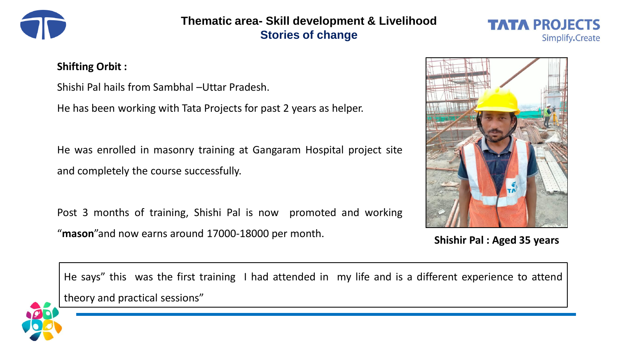

## **Thematic area- Skill development & Livelihood Stories of change**



## **Shifting Orbit :**

Shishi Pal hails from Sambhal –Uttar Pradesh.

He has been working with Tata Projects for past 2 years as helper.

He was enrolled in masonry training at Gangaram Hospital project site and completely the course successfully.

Post 3 months of training, Shishi Pal is now promoted and working "**mason**"and now earns around 17000-18000 per month.



**Shishir Pal : Aged 35 years**

He says" this was the first training I had attended in my life and is a different experience to attend theory and practical sessions"